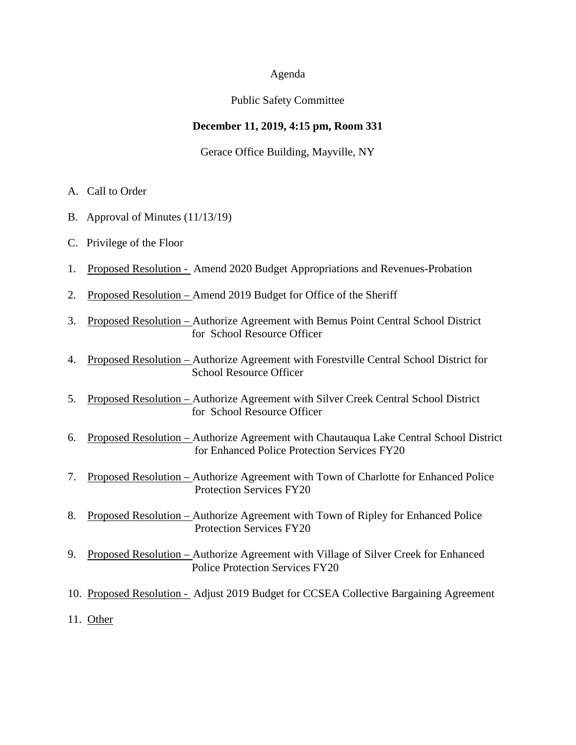### Agenda

### Public Safety Committee

# **December 11, 2019, 4:15 pm, Room 331**

### Gerace Office Building, Mayville, NY

- A. Call to Order
- B. Approval of Minutes (11/13/19)
- C. Privilege of the Floor
- 1. Proposed Resolution Amend 2020 Budget Appropriations and Revenues-Probation
- 2. Proposed Resolution Amend 2019 Budget for Office of the Sheriff
- 3. Proposed Resolution Authorize Agreement with Bemus Point Central School District for School Resource Officer
- 4. Proposed Resolution Authorize Agreement with Forestville Central School District for School Resource Officer
- 5. Proposed Resolution Authorize Agreement with Silver Creek Central School District for School Resource Officer
- 6. Proposed Resolution Authorize Agreement with Chautauqua Lake Central School District for Enhanced Police Protection Services FY20
- 7. Proposed Resolution Authorize Agreement with Town of Charlotte for Enhanced Police Protection Services FY20
- 8. Proposed Resolution Authorize Agreement with Town of Ripley for Enhanced Police Protection Services FY20
- 9. Proposed Resolution Authorize Agreement with Village of Silver Creek for Enhanced Police Protection Services FY20
- 10. Proposed Resolution Adjust 2019 Budget for CCSEA Collective Bargaining Agreement
- 11. Other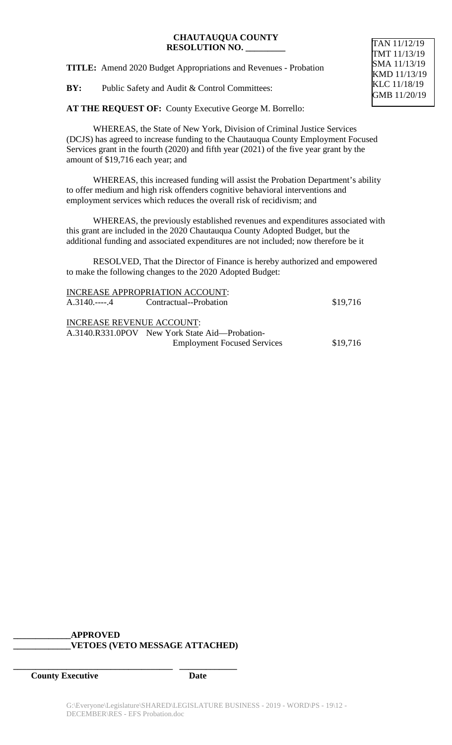**TITLE:** Amend 2020 Budget Appropriations and Revenues - Probation

**BY:** Public Safety and Audit & Control Committees:

**AT THE REQUEST OF:** County Executive George M. Borrello:

WHEREAS, the State of New York, Division of Criminal Justice Services (DCJS) has agreed to increase funding to the Chautauqua County Employment Focused Services grant in the fourth (2020) and fifth year (2021) of the five year grant by the amount of \$19,716 each year; and

WHEREAS, this increased funding will assist the Probation Department's ability to offer medium and high risk offenders cognitive behavioral interventions and employment services which reduces the overall risk of recidivism; and

WHEREAS, the previously established revenues and expenditures associated with this grant are included in the 2020 Chautauqua County Adopted Budget, but the additional funding and associated expenditures are not included; now therefore be it

RESOLVED, That the Director of Finance is hereby authorized and empowered to make the following changes to the 2020 Adopted Budget:

|                                  | INCREASE APPROPRIATION ACCOUNT:                |          |
|----------------------------------|------------------------------------------------|----------|
| A.3140.----.4                    | Contractual--Probation                         | \$19,716 |
| <b>INCREASE REVENUE ACCOUNT:</b> |                                                |          |
|                                  | A.3140.R331.0POV New York State Aid—Probation- |          |
|                                  | <b>Employment Focused Services</b>             | \$19,716 |

# **\_\_\_\_\_\_\_\_\_\_\_\_\_APPROVED \_\_\_\_\_\_\_\_\_\_\_\_\_VETOES (VETO MESSAGE ATTACHED)**

**\_\_\_\_\_\_\_\_\_\_\_\_\_\_\_\_\_\_\_\_\_\_\_\_\_\_\_\_\_\_\_\_\_\_\_\_ \_\_\_\_\_\_\_\_\_\_\_\_\_**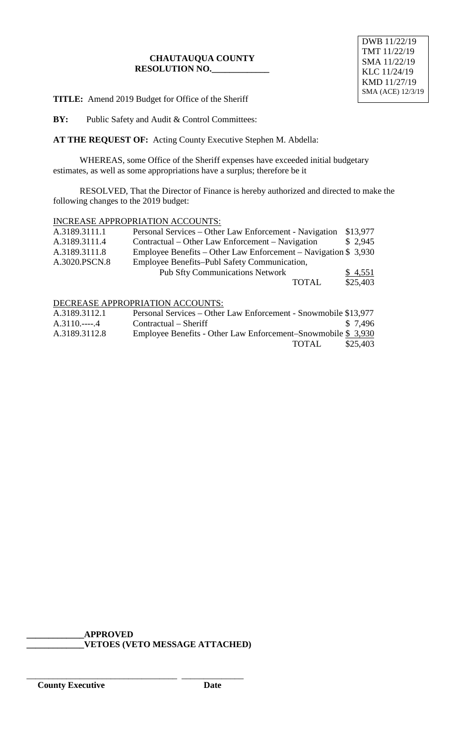**TITLE:** Amend 2019 Budget for Office of the Sheriff

**BY:** Public Safety and Audit & Control Committees:

**AT THE REQUEST OF:** Acting County Executive Stephen M. Abdella:

WHEREAS, some Office of the Sheriff expenses have exceeded initial budgetary estimates, as well as some appropriations have a surplus; therefore be it

RESOLVED, That the Director of Finance is hereby authorized and directed to make the following changes to the 2019 budget:

### INCREASE APPROPRIATION ACCOUNTS:

| A.3189.3111.1 | Personal Services – Other Law Enforcement - Navigation          | \$13,977 |
|---------------|-----------------------------------------------------------------|----------|
| A.3189.3111.4 | Contractual – Other Law Enforcement – Navigation                | \$2,945  |
| A.3189.3111.8 | Employee Benefits – Other Law Enforcement – Navigation $$3,930$ |          |
| A.3020.PSCN.8 | Employee Benefits–Publ Safety Communication,                    |          |
|               | <b>Pub Sfty Communications Network</b>                          | \$4,551  |
|               | <b>TOTAL</b>                                                    | \$25,403 |

### DECREASE APPROPRIATION ACCOUNTS:

| A.3189.3112.1 | Personal Services – Other Law Enforcement - Snowmobile \$13,977 |          |
|---------------|-----------------------------------------------------------------|----------|
| $A.3110.---4$ | $Contractual - Sheriff$                                         | \$ 7.496 |
| A.3189.3112.8 | Employee Benefits - Other Law Enforcement-Snowmobile \$ 3,930   |          |
|               | TOTAL                                                           | \$25,403 |

### **\_\_\_\_\_\_\_\_\_\_\_\_\_APPROVED \_\_\_\_\_\_\_\_\_\_\_\_\_VETOES (VETO MESSAGE ATTACHED)**

\_\_\_\_\_\_\_\_\_\_\_\_\_\_\_\_\_\_\_\_\_\_\_\_\_\_\_\_\_\_\_\_\_\_ \_\_\_\_\_\_\_\_\_\_\_\_\_\_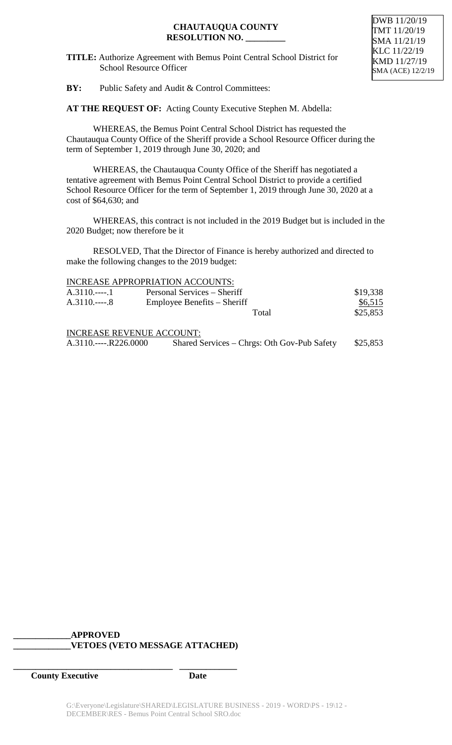**TITLE:** Authorize Agreement with Bemus Point Central School District for School Resource Officer

**BY:** Public Safety and Audit & Control Committees:

**AT THE REQUEST OF:** Acting County Executive Stephen M. Abdella:

WHEREAS, the Bemus Point Central School District has requested the Chautauqua County Office of the Sheriff provide a School Resource Officer during the term of September 1, 2019 through June 30, 2020; and

WHEREAS, the Chautauqua County Office of the Sheriff has negotiated a tentative agreement with Bemus Point Central School District to provide a certified School Resource Officer for the term of September 1, 2019 through June 30, 2020 at a cost of \$64,630; and

WHEREAS, this contract is not included in the 2019 Budget but is included in the 2020 Budget; now therefore be it

RESOLVED, That the Director of Finance is hereby authorized and directed to make the following changes to the 2019 budget:

| <b>INCREASE APPROPRIATION ACCOUNTS:</b> |
|-----------------------------------------|
|-----------------------------------------|

| $A.3110$ 1 | Personal Services – Sheriff      | \$19,338 |
|------------|----------------------------------|----------|
| $A.3110$ 8 | Employee Benefits – Sheriff      | \$6,515  |
|            | Total                            | \$25,853 |
|            | <b>INCREASE REVENUE ACCOUNT:</b> |          |

| $A.3110$ R226.0000 |                                             | \$25,853 |
|--------------------|---------------------------------------------|----------|
|                    | Shared Services – Chrgs: Oth Gov-Pub Safety |          |

# **\_\_\_\_\_\_\_\_\_\_\_\_\_APPROVED \_\_\_\_\_\_\_\_\_\_\_\_\_VETOES (VETO MESSAGE ATTACHED)**

**\_\_\_\_\_\_\_\_\_\_\_\_\_\_\_\_\_\_\_\_\_\_\_\_\_\_\_\_\_\_\_\_\_\_\_\_ \_\_\_\_\_\_\_\_\_\_\_\_\_**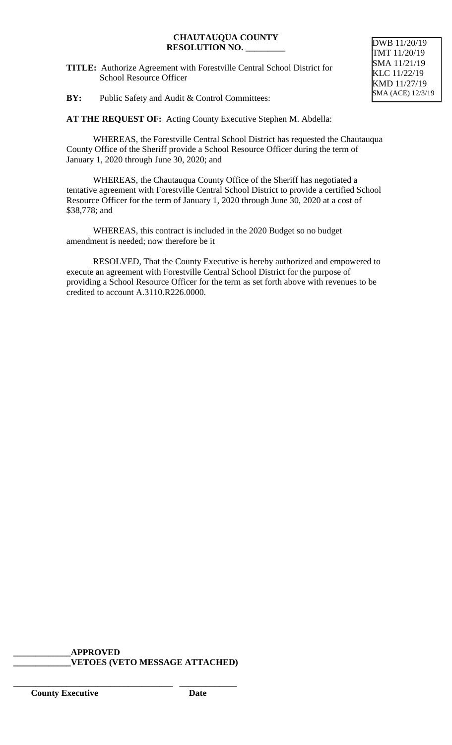**TITLE:** Authorize Agreement with Forestville Central School District for School Resource Officer

# **BY:** Public Safety and Audit & Control Committees:

**AT THE REQUEST OF:** Acting County Executive Stephen M. Abdella:

WHEREAS, the Forestville Central School District has requested the Chautauqua County Office of the Sheriff provide a School Resource Officer during the term of January 1, 2020 through June 30, 2020; and

WHEREAS, the Chautauqua County Office of the Sheriff has negotiated a tentative agreement with Forestville Central School District to provide a certified School Resource Officer for the term of January 1, 2020 through June 30, 2020 at a cost of \$38,778; and

WHEREAS, this contract is included in the 2020 Budget so no budget amendment is needed; now therefore be it

RESOLVED, That the County Executive is hereby authorized and empowered to execute an agreement with Forestville Central School District for the purpose of providing a School Resource Officer for the term as set forth above with revenues to be credited to account A.3110.R226.0000.

# **\_\_\_\_\_\_\_\_\_\_\_\_\_APPROVED**

**\_\_\_\_\_\_\_\_\_\_\_\_\_\_\_\_\_\_\_\_\_\_\_\_\_\_\_\_\_\_\_\_\_\_\_\_ \_\_\_\_\_\_\_\_\_\_\_\_\_**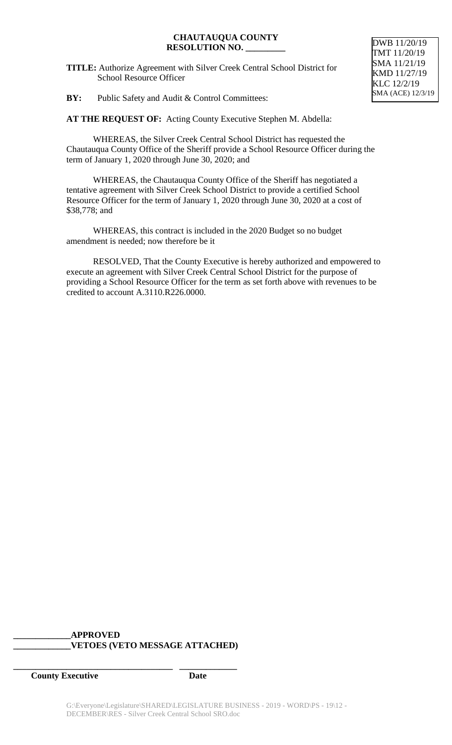**TITLE:** Authorize Agreement with Silver Creek Central School District for School Resource Officer

**BY:** Public Safety and Audit & Control Committees:

**AT THE REQUEST OF:** Acting County Executive Stephen M. Abdella:

WHEREAS, the Silver Creek Central School District has requested the Chautauqua County Office of the Sheriff provide a School Resource Officer during the term of January 1, 2020 through June 30, 2020; and

WHEREAS, the Chautauqua County Office of the Sheriff has negotiated a tentative agreement with Silver Creek School District to provide a certified School Resource Officer for the term of January 1, 2020 through June 30, 2020 at a cost of \$38,778; and

WHEREAS, this contract is included in the 2020 Budget so no budget amendment is needed; now therefore be it

RESOLVED, That the County Executive is hereby authorized and empowered to execute an agreement with Silver Creek Central School District for the purpose of providing a School Resource Officer for the term as set forth above with revenues to be credited to account A.3110.R226.0000.

# **\_\_\_\_\_\_\_\_\_\_\_\_\_APPROVED \_\_\_\_\_\_\_\_\_\_\_\_\_VETOES (VETO MESSAGE ATTACHED)**

**\_\_\_\_\_\_\_\_\_\_\_\_\_\_\_\_\_\_\_\_\_\_\_\_\_\_\_\_\_\_\_\_\_\_\_\_ \_\_\_\_\_\_\_\_\_\_\_\_\_**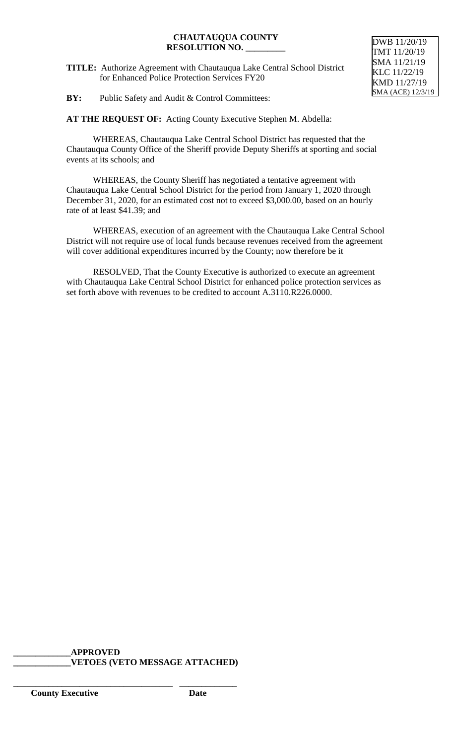**TITLE:** Authorize Agreement with Chautauqua Lake Central School District for Enhanced Police Protection Services FY20

**BY:** Public Safety and Audit & Control Committees:

**AT THE REQUEST OF:** Acting County Executive Stephen M. Abdella:

WHEREAS, Chautauqua Lake Central School District has requested that the Chautauqua County Office of the Sheriff provide Deputy Sheriffs at sporting and social events at its schools; and

WHEREAS, the County Sheriff has negotiated a tentative agreement with Chautauqua Lake Central School District for the period from January 1, 2020 through December 31, 2020, for an estimated cost not to exceed \$3,000.00, based on an hourly rate of at least \$41.39; and

WHEREAS, execution of an agreement with the Chautauqua Lake Central School District will not require use of local funds because revenues received from the agreement will cover additional expenditures incurred by the County; now therefore be it

RESOLVED, That the County Executive is authorized to execute an agreement with Chautauqua Lake Central School District for enhanced police protection services as set forth above with revenues to be credited to account A.3110.R226.0000.

# **\_\_\_\_\_\_\_\_\_\_\_\_\_APPROVED**

**\_\_\_\_\_\_\_\_\_\_\_\_\_\_\_\_\_\_\_\_\_\_\_\_\_\_\_\_\_\_\_\_\_\_\_\_ \_\_\_\_\_\_\_\_\_\_\_\_\_**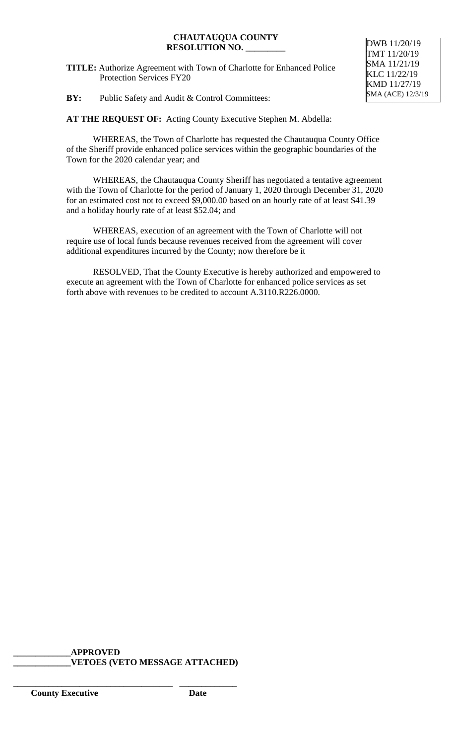**TITLE:** Authorize Agreement with Town of Charlotte for Enhanced Police Protection Services FY20

**BY:** Public Safety and Audit & Control Committees:

**AT THE REQUEST OF:** Acting County Executive Stephen M. Abdella:

WHEREAS, the Town of Charlotte has requested the Chautauqua County Office of the Sheriff provide enhanced police services within the geographic boundaries of the Town for the 2020 calendar year; and

WHEREAS, the Chautauqua County Sheriff has negotiated a tentative agreement with the Town of Charlotte for the period of January 1, 2020 through December 31, 2020 for an estimated cost not to exceed \$9,000.00 based on an hourly rate of at least \$41.39 and a holiday hourly rate of at least \$52.04; and

WHEREAS, execution of an agreement with the Town of Charlotte will not require use of local funds because revenues received from the agreement will cover additional expenditures incurred by the County; now therefore be it

RESOLVED, That the County Executive is hereby authorized and empowered to execute an agreement with the Town of Charlotte for enhanced police services as set forth above with revenues to be credited to account A.3110.R226.0000.

# **\_\_\_\_\_\_\_\_\_\_\_\_\_APPROVED**

**\_\_\_\_\_\_\_\_\_\_\_\_\_\_\_\_\_\_\_\_\_\_\_\_\_\_\_\_\_\_\_\_\_\_\_\_ \_\_\_\_\_\_\_\_\_\_\_\_\_**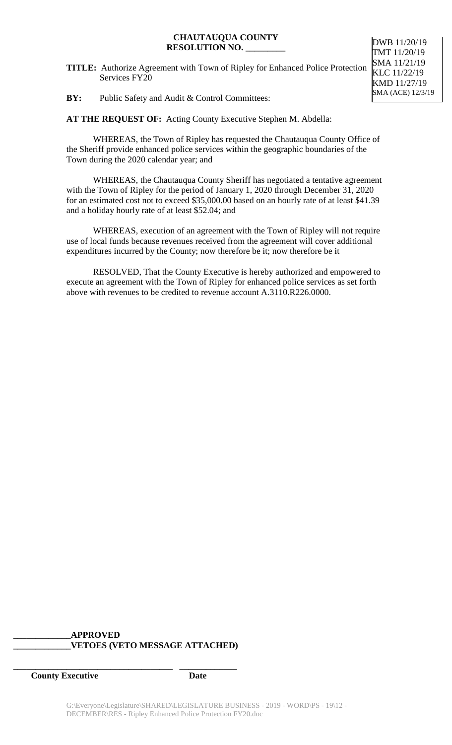**TITLE:** Authorize Agreement with Town of Ripley for Enhanced Police Protection Services FY20

**BY:** Public Safety and Audit & Control Committees:

**AT THE REQUEST OF:** Acting County Executive Stephen M. Abdella:

WHEREAS, the Town of Ripley has requested the Chautauqua County Office of the Sheriff provide enhanced police services within the geographic boundaries of the Town during the 2020 calendar year; and

WHEREAS, the Chautauqua County Sheriff has negotiated a tentative agreement with the Town of Ripley for the period of January 1, 2020 through December 31, 2020 for an estimated cost not to exceed \$35,000.00 based on an hourly rate of at least \$41.39 and a holiday hourly rate of at least \$52.04; and

WHEREAS, execution of an agreement with the Town of Ripley will not require use of local funds because revenues received from the agreement will cover additional expenditures incurred by the County; now therefore be it; now therefore be it

RESOLVED, That the County Executive is hereby authorized and empowered to execute an agreement with the Town of Ripley for enhanced police services as set forth above with revenues to be credited to revenue account A.3110.R226.0000.

# **\_\_\_\_\_\_\_\_\_\_\_\_\_APPROVED \_\_\_\_\_\_\_\_\_\_\_\_\_VETOES (VETO MESSAGE ATTACHED)**

**\_\_\_\_\_\_\_\_\_\_\_\_\_\_\_\_\_\_\_\_\_\_\_\_\_\_\_\_\_\_\_\_\_\_\_\_ \_\_\_\_\_\_\_\_\_\_\_\_\_**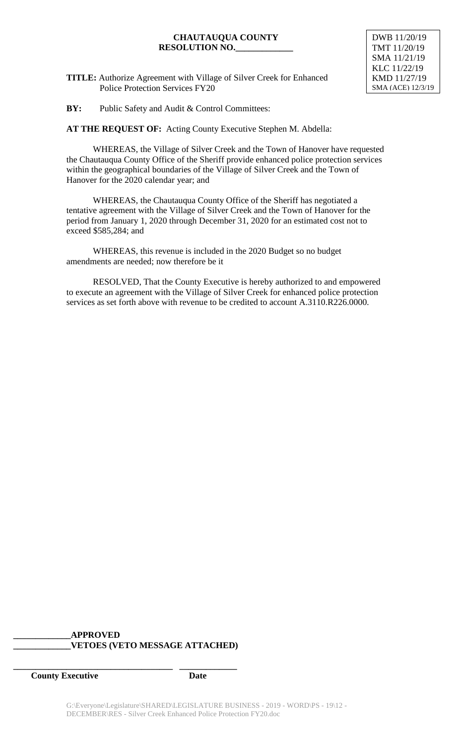DWB 11/20/19 TMT 11/20/19 SMA 11/21/19 KLC 11/22/19 KMD 11/27/19 SMA (ACE) 12/3/19

**TITLE:** Authorize Agreement with Village of Silver Creek for Enhanced Police Protection Services FY20

**BY:** Public Safety and Audit & Control Committees:

**AT THE REQUEST OF:** Acting County Executive Stephen M. Abdella:

WHEREAS, the Village of Silver Creek and the Town of Hanover have requested the Chautauqua County Office of the Sheriff provide enhanced police protection services within the geographical boundaries of the Village of Silver Creek and the Town of Hanover for the 2020 calendar year; and

WHEREAS, the Chautauqua County Office of the Sheriff has negotiated a tentative agreement with the Village of Silver Creek and the Town of Hanover for the period from January 1, 2020 through December 31, 2020 for an estimated cost not to exceed \$585,284; and

WHEREAS, this revenue is included in the 2020 Budget so no budget amendments are needed; now therefore be it

RESOLVED, That the County Executive is hereby authorized to and empowered to execute an agreement with the Village of Silver Creek for enhanced police protection services as set forth above with revenue to be credited to account A.3110.R226.0000.

# **\_\_\_\_\_\_\_\_\_\_\_\_\_APPROVED \_\_\_\_\_\_\_\_\_\_\_\_\_VETOES (VETO MESSAGE ATTACHED)**

**\_\_\_\_\_\_\_\_\_\_\_\_\_\_\_\_\_\_\_\_\_\_\_\_\_\_\_\_\_\_\_\_\_\_\_\_ \_\_\_\_\_\_\_\_\_\_\_\_\_**